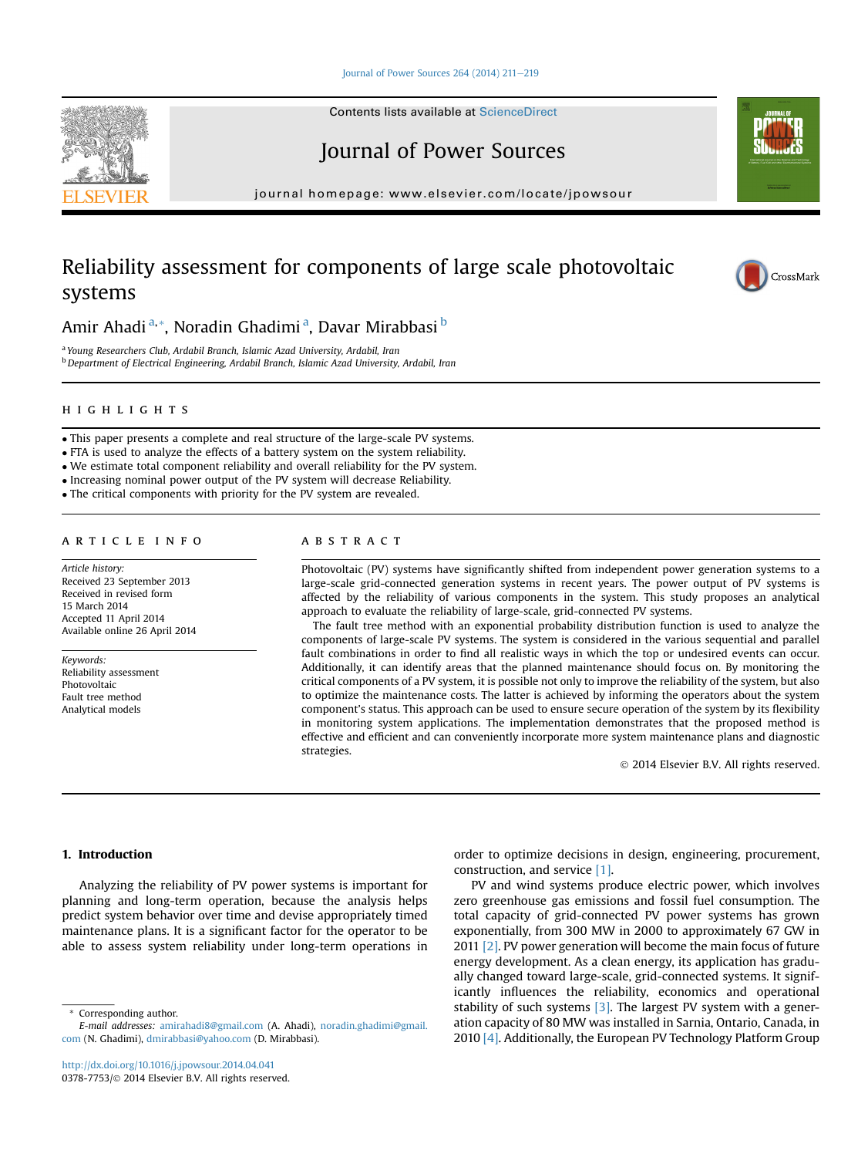Journal of Power Sources  $264$  ( $2014$ )  $211-219$  $211-219$ 

Contents lists available at ScienceDirect

# Journal of Power Sources

journal homepage: [www.elsevier.com/locate/jpowsour](http://www.elsevier.com/locate/jpowsour)

# Reliability assessment for components of large scale photovoltaic systems

Amir Ahadi <sup>a, "</sup>, Noradin Ghadimi <sup>a</sup>, Davar Mirabbasi <sup>b</sup>

<sup>a</sup> Young Researchers Club, Ardabil Branch, Islamic Azad University, Ardabil, Iran <sup>b</sup> Department of Electrical Engineering, Ardabil Branch, Islamic Azad University, Ardabil, Iran

- This paper presents a complete and real structure of the large-scale PV systems.
- FTA is used to analyze the effects of a battery system on the system reliability.
- We estimate total component reliability and overall reliability for the PV system.
- Increasing nominal power output of the PV system will decrease Reliability.
- The critical components with priority for the PV system are revealed.

#### **ARTICLE INFO** article info

Article history: Received 23 September 2013 Received in revised form 15 March 2014 Accepted 11 April 2014 Available online 26 April 2014

Keywords: Reliability assessment Photovoltaic Fault tree method Analytical models

#### ARSTRACT abstract

Photovoltaic (PV) systems have significantly shifted from independent power generation systems to a large-scale grid-connected generation systems in recent years. The power output of PV systems is affected by the reliability of various components in the system. This study proposes an analytical approach to evaluate the reliability of large-scale, grid-connected PV systems.

The fault tree method with an exponential probability distribution function is used to analyze the components of large-scale PV systems. The system is considered in the various sequential and parallel fault combinations in order to find all realistic ways in which the top or undesired events can occur. Additionally, it can identify areas that the planned maintenance should focus on. By monitoring the critical components of a PV system, it is possible not only to improve the reliability of the system, but also to optimize the maintenance costs. The latter is achieved by informing the operators about the system component's status. This approach can be used to ensure secure operation of the system by its flexibility in monitoring system applications. The implementation demonstrates that the proposed method is effective and efficient and can conveniently incorporate more system maintenance plans and diagnostic strategies.

2014 Elsevier B.V. All rights reserved.

### 1. Introduction

Analyzing the reliability of PV power systems is important for planning and long-term operation, because the analysis helps predict system behavior over time and devise appropriately timed maintenance plans. It is a significant factor for the operator to be able to assess system reliability under long-term operations in

Corresponding author.

order to optimize decisions in design, engineering, procurement, construction, and service [1].

PV and wind systems produce electric power, which involves zero greenhouse gas emissions and fossil fuel consumption. The total capacity of grid-connected PV power systems has grown exponentially, from 300 MW in 2000 to approximately 67 GW in 2011 [2]. PV power generation will become the main focus of future energy development. As a clean energy, its application has gradually changed toward large-scale, grid-connected systems. It significantly influences the reliability, economics and operational stability of such systems [3]. The largest PV system with a generation capacity of 80 MW was installed in Sarnia, Ontario, Canada, in 2010 [4]. Additionally, the European PV Technology Platform Group







E-mail addresses: [amirahadi8@gmail.com](mailto:amirahadi8@gmail.com) (A. Ahadi), [noradin.ghadimi@gmail.](mailto:noradin.ghadimi@gmail.com) [com](mailto:noradin.ghadimi@gmail.com) (N. Ghadimi), [dmirabbasi@yahoo.com](mailto:dmirabbasi@yahoo.com) (D. Mirabbasi).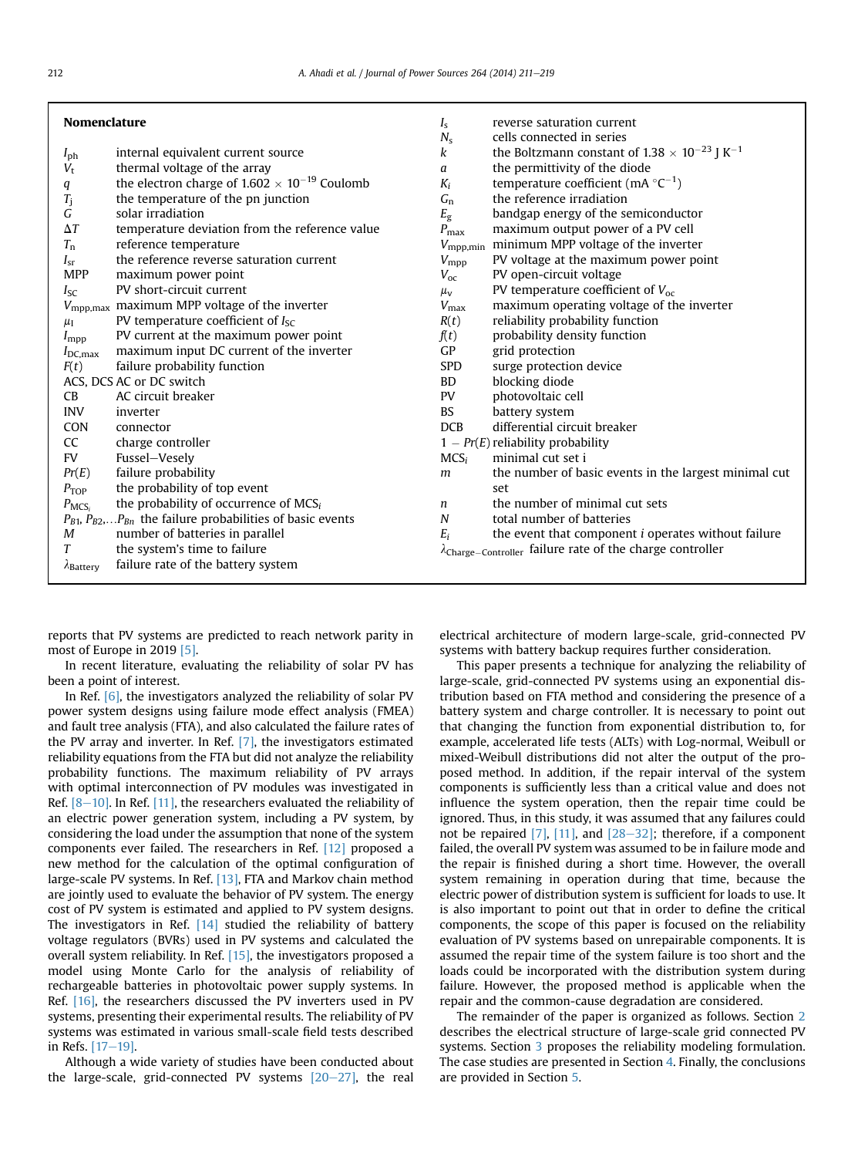| <b>Nomenclature</b>      |                                                                          | $I_{\rm s}$                                                       | reverse saturation current                                         |
|--------------------------|--------------------------------------------------------------------------|-------------------------------------------------------------------|--------------------------------------------------------------------|
|                          |                                                                          | $N_{\rm s}$                                                       | cells connected in series                                          |
| $I_{\rm ph}$             | internal equivalent current source                                       | k                                                                 | the Boltzmann constant of $1.38 \times 10^{-23}$ J K <sup>-1</sup> |
| $V_{\rm t}$              | thermal voltage of the array                                             | a                                                                 | the permittivity of the diode                                      |
| q                        | the electron charge of $1.602 \times 10^{-19}$ Coulomb                   | $K_i$                                                             | temperature coefficient (mA $\circ$ C <sup>-1</sup> )              |
| $T_{\rm j}$              | the temperature of the pn junction                                       | $G_{n}$                                                           | the reference irradiation                                          |
| G                        | solar irradiation                                                        | $E_{\rm g}$                                                       | bandgap energy of the semiconductor                                |
| $\Delta T$               | temperature deviation from the reference value                           | $P_{\text{max}}$                                                  | maximum output power of a PV cell                                  |
| $T_{n}$                  | reference temperature                                                    | $V_{\text{mpp,min}}$                                              | minimum MPP voltage of the inverter                                |
| $I_{\rm sr}$             | the reference reverse saturation current                                 | $V_{\text{mpp}}$                                                  | PV voltage at the maximum power point                              |
| <b>MPP</b>               | maximum power point                                                      | $V_{\rm oc}$                                                      | PV open-circuit voltage                                            |
| $I_{SC}$                 | PV short-circuit current                                                 | $\mu_{\rm v}$                                                     | PV temperature coefficient of $V_{\text{oc}}$                      |
|                          | $V_{\text{mpp,max}}$ maximum MPP voltage of the inverter                 | $V_{\rm max}$                                                     | maximum operating voltage of the inverter                          |
| $\mu_{\rm I}$            | PV temperature coefficient of $I_{SC}$                                   | R(t)                                                              | reliability probability function                                   |
| $I_{\rm mpp}$            | PV current at the maximum power point                                    | f(t)                                                              | probability density function                                       |
| $I_{\text{DC,max}}$      | maximum input DC current of the inverter                                 | GP                                                                | grid protection                                                    |
| F(t)                     | failure probability function                                             | <b>SPD</b>                                                        | surge protection device                                            |
| ACS, DCS AC or DC switch |                                                                          | <b>BD</b>                                                         | blocking diode                                                     |
| CB                       | AC circuit breaker                                                       | <b>PV</b>                                                         | photovoltaic cell                                                  |
| <b>INV</b>               | inverter                                                                 | <b>BS</b>                                                         | battery system                                                     |
| <b>CON</b>               | connector                                                                | <b>DCB</b>                                                        | differential circuit breaker                                       |
| CC                       | charge controller                                                        | $1 - Pr(E)$ reliability probability                               |                                                                    |
| <b>FV</b>                | Fussel-Vesely                                                            | $MCS_i$                                                           | minimal cut set i                                                  |
| Pr(E)                    | failure probability                                                      | m                                                                 | the number of basic events in the largest minimal cut              |
| $P_{\text{TOP}}$         | the probability of top event                                             |                                                                   | set                                                                |
| $P_{\text{MCS}_i}$       | the probability of occurrence of $MCSi$                                  | $\boldsymbol{n}$                                                  | the number of minimal cut sets                                     |
|                          | $P_{B1}$ , $P_{B2}$ , $P_{Bn}$ the failure probabilities of basic events | N                                                                 | total number of batteries                                          |
| M                        | number of batteries in parallel                                          | $E_i$                                                             | the event that component <i>i</i> operates without failure         |
| T                        | the system's time to failure                                             | $\lambda$ Charge-Controller failure rate of the charge controller |                                                                    |
| $\lambda$ Battery        | failure rate of the battery system                                       |                                                                   |                                                                    |

reports that PV systems are predicted to reach network parity in most of Europe in 2019 [5].

In recent literature, evaluating the reliability of solar PV has been a point of interest.

In Ref.  $[6]$ , the investigators analyzed the reliability of solar PV power system designs using failure mode effect analysis (FMEA) and fault tree analysis (FTA), and also calculated the failure rates of the PV array and inverter. In Ref. [7], the investigators estimated reliability equations from the FTA but did not analyze the reliability probability functions. The maximum reliability of PV arrays with optimal interconnection of PV modules was investigated in Ref.  $[8-10]$ . In Ref.  $[11]$ , the researchers evaluated the reliability of an electric power generation system, including a PV system, by considering the load under the assumption that none of the system components ever failed. The researchers in Ref. [12] proposed a new method for the calculation of the optimal configuration of large-scale PV systems. In Ref. [13], FTA and Markov chain method are jointly used to evaluate the behavior of PV system. The energy cost of PV system is estimated and applied to PV system designs. The investigators in Ref.  $[14]$  studied the reliability of battery voltage regulators (BVRs) used in PV systems and calculated the overall system reliability. In Ref. [15], the investigators proposed a model using Monte Carlo for the analysis of reliability of rechargeable batteries in photovoltaic power supply systems. In Ref. [16], the researchers discussed the PV inverters used in PV systems, presenting their experimental results. The reliability of PV systems was estimated in various small-scale field tests described in Refs.  $[17-19]$ .

Although a wide variety of studies have been conducted about the large-scale, grid-connected PV systems  $[20-27]$ , the real electrical architecture of modern large-scale, grid-connected PV systems with battery backup requires further consideration.

This paper presents a technique for analyzing the reliability of large-scale, grid-connected PV systems using an exponential distribution based on FTA method and considering the presence of a battery system and charge controller. It is necessary to point out that changing the function from exponential distribution to, for example, accelerated life tests (ALTs) with Log-normal, Weibull or mixed-Weibull distributions did not alter the output of the proposed method. In addition, if the repair interval of the system components is sufficiently less than a critical value and does not influence the system operation, then the repair time could be ignored. Thus, in this study, it was assumed that any failures could not be repaired  $[7]$ ,  $[11]$ , and  $[28-32]$ ; therefore, if a component failed, the overall PV system was assumed to be in failure mode and the repair is finished during a short time. However, the overall system remaining in operation during that time, because the electric power of distribution system is sufficient for loads to use. It is also important to point out that in order to define the critical components, the scope of this paper is focused on the reliability evaluation of PV systems based on unrepairable components. It is assumed the repair time of the system failure is too short and the loads could be incorporated with the distribution system during failure. However, the proposed method is applicable when the repair and the common-cause degradation are considered.

The remainder of the paper is organized as follows. Section 2 describes the electrical structure of large-scale grid connected PV systems. Section 3 proposes the reliability modeling formulation. The case studies are presented in Section 4. Finally, the conclusions are provided in Section 5.